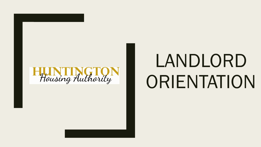

# LANDLORD ORIENTATION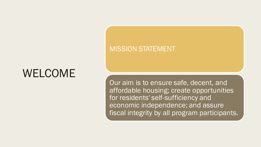### WELCOME

MISSION STATEMENT

Our aim is to ensure safe, decent, and affordable housing; create opportunities for residents' self-sufficiency and economic independence; and assure fiscal integrity by all program participants.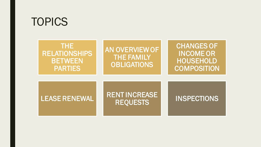### **TOPICS**

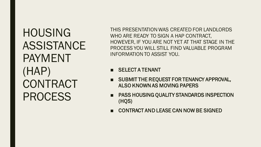HOUSING ASSISTANCE PAYMENT (HAP) **CONTRACT** PROCESS

THIS PRESENTATION WAS CREATED FOR LANDLORDS WHO ARE READY TO SIGN A HAP CONTRACT, HOWEVER, IF YOU ARE NOT YET AT THAT STAGE IN THE PROCESS YOU WILL STILL FIND VALUABLE PROGRAM INFORMATION TO ASSIST YOU.

### ■ SELECT A TENANT

- SUBMIT THE REQUEST FOR TENANCY APPROVAL, ALSO KNOWN AS MOVING PAPERS
- PASS HOUSING QUALITY STANDARDS INSPECTION (HQS)
- CONTRACT AND LEASE CAN NOW BE SIGNED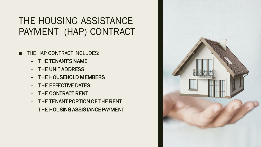### THE HOUSING ASSISTANCE PAYMENT (HAP) CONTRACT

### ■ THE HAP CONTRACT INCLUDES:

- THE TENANT'S NAME
- THE UNIT ADDRESS
- THE HOUSEHOLD MEMBERS
- THE EFFECTIVE DATES
- THE CONTRACT RENT
- THE TENANT PORTION OF THE RENT
- THE HOUSING ASSISTANCE PAYMENT

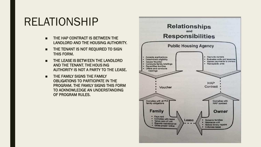### RELATIONSHIP

- THE HAP CONTRACT IS BETWEEN THE LANDLORD AND THE HOUSING AUTHORITY.
- THE TENANT IS NOT REQUIRED TO SIGN THIS FORM.
- THE LEASE IS BETW EEN THE LANDLORD AND THE TENANT. THE HOUSING AUTHORITY IS NOT A PARTY TO THE LEASE.
- **THE FAMILY SIGNS THE FAMILY** OBLIGATIONS TO PARTICIPATE IN THE PROGRAM. THE FAMILY SIGNS THIS FORM TO ACKNOWLEDGE AN UNDERSTANDING OF PROGRAM RULES.

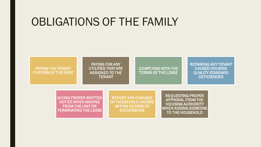### OBLIGATIONS OF THE FAMILY

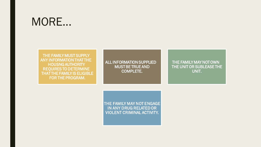### MORE...

THE FAMILY MUST SUPPLY ANY INFORMATION THAT THE HOUSNG AUTHORITY **REQUIRES TO DETERMINE** THAT THE FAMILY IS ELIGIBLE FOR THE PROGRAM.

ALL INFORMATION SUPPLIED MUST BE TRUE AND COMPLETE.

THE FAMILY MAY NOT OWN THE UNIT OR SUBLEASE THE UNIT.

THE FAMILY MAY NOT ENGAGE IN ANY DRUG RELATED OR VIOLENT CRIMINAL ACTIVITY.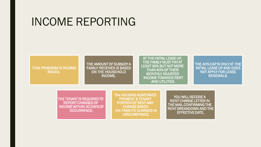### INCOME REPORTING

#### THIS PROGRAM IS INCOME BASED.

#### THE AMOUNT OF SUBSIDY A FAMILY RECEIVES IS BASED ON THE HOUSEHOLD INCOME.

#### AT THE INITIAL LEASE UP, THE FAMILY MUST PAY AT LEAST 30% BUT NOT MORE THAN 40% OF THEIR MONTHLY ADJUSTED INCOME TOWARDS RENT AND UTILITIES.

#### THE 40% CAP IS ONLY AT THE INITIAL LEASE UP AND DOES NOT APPLY FOR LEASE RENEWALS.

THE TENANT IS REQUIRED TO REPORT CHANGES OF INCOME WITHIN 30 DAYS OF OCCURRENCE.

The HOUSING ASSISTANCE PAYMENT & TENANT PORTION OF RENT MAY CHANGE BASED ON FAMILY'S CHANGES IN CIRCUMSTANCE.

YOU WILL RECEIVE A RENT CHANGE LETTER IN THE MAIL CONFIRMING THE RENT BREAKDOWN AND THE EFFECTIVE DATE.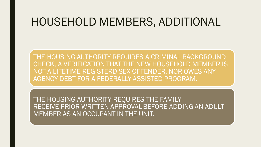### HOUSEHOLD MEMBERS, ADDITIONAL

THE HOUSING AUTHORITY REQUIRES A CRIMINAL BACKGROUND CHECK, A VERIFICATION THAT THE NEW HOUSEHOLD MEMBER IS NOT A LIFETIME REGISTERD SEX OFFENDER, NOR OWES ANY AGENCY DEBT FOR A FEDERALLY ASSISTED PROGRAM.

THE HOUSING AUTHORITY REQUIRES THE FAMILY RECEIVE PRIOR WRITTEN APPROVALBEFORE ADDING AN ADULT MEMBER AS AN OCCUPANT IN THE UNIT.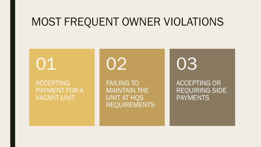### MOST FREQUENT OWNER VIOLATIONS

# 01

### ACCEPTING PAYMENT FOR A VACANT UNIT

02

FAILING TO MAINTAIN THE UNIT AT HQS REQUIREMENTS 03

ACCEPTING OR REQUIRING SIDE PAYMENTS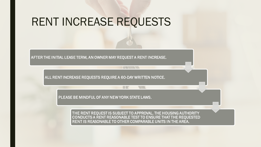### RENT INCREASE REQUESTS

AFTER THE INITIAL LEASE TERM, AN OWNER MAY REQUEST A RENT INCREASE.

ALL RENT INCREASE REQUESTS REQUIRE A 60-DAY WRITTEN NOTICE.

PLEASE BE MINDFUL OF ANY NEW YORK STATE LAWS.

THE RENT REQUEST IS SUBJECT TO APPROVAL. THE HOUSING AUTHORITY CONDUCTS A RENT REASONABLE TEST TO ENSURE THAT THE REQUESTED RENT IS REASONABLE TO OTHER COMPARABLE UNITS IN THE AREA.

**ROBA SECURITY OF**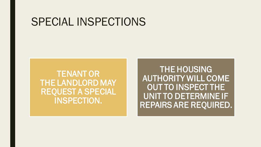### SPECIAL INSPECTIONS

TENANT OR THE LANDLORD MAY REQUEST A SPECIAL INSPECTION.

THE HOUSING AUTHORITY WILL COME OUT TO INSPECT THE UNIT TO DETERMINE IF REPAIRS ARE REQUIRED.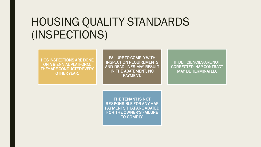### HOUSING QUALITY STANDARDS (INSPECTIONS)

HQS INSPECTIONS ARE DONE ON A BIENNIAL PLATFORM. THEY ARE CONDUCTED EVERY OTHER YEAR.

FAILURE TO COMPLY WITH INSPECTION REQUIREMENTS AND DEADLINES MAY RESULT IN THE ABATEMENT, NO PAYMENT.

IF DEFICIENCIES ARE NOT CORRECTED, HAP CONTRACT MAY BE TERMINATED.

THE TENANT IS NOT RESPONSIBLE FOR ANY HAP PAYMENTS THAT ARE ABATED FOR THE OWNER'S FAILURE TO COMPLY.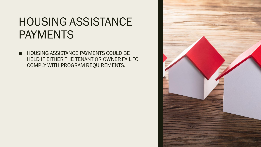## HOUSING ASSISTANCE PAYMENTS

■ HOUSING ASSISTANCE PAYMENTS COULD BE HELD IF EITHER THE TENANT OR OWNER FAIL TO COMPLY WITH PROGRAM REQUIREMENTS.

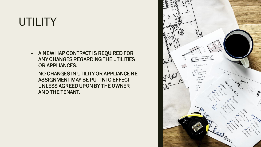# **UTILITY**

- A NEW HAP CONTRACT IS REQUIRED FOR ANY CHANGES REGARDING THE UTILITIES OR APPLIANCES.
- NO CHANGES IN UTILITY OR APPLIANCE RE-ASSIGNMENT MAY BE PUT INTO EFFECT UNLESS AGREED UPON BY THE OWNER AND THE TENANT.

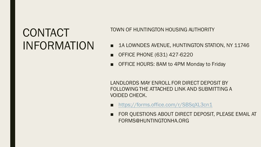# **CONTACT** INFORMATION

TOWN OF HUNTINGTON HOUSING AUTHORITY

- 1A LOWNDES AVENUE, HUNTINGTON STATION, NY 11746
- OFFICE PHONE (631) 427-6220
- OFFICE HOURS: 8AM to 4PM Monday to Friday

LANDLORDS MAY ENROLL FOR DIRECT DEPOSIT BY FOLLOWING THE ATTACHED LINK AND SUBMITTING A VOIDED CHECK.

- <https://forms.office.com/r/SBSqXL3cn1>
- FOR QUESTIONS ABOUT DIRECT DEPOSIT, PLEASE EMAIL AT FORMS@HUNTINGTONHA.ORG